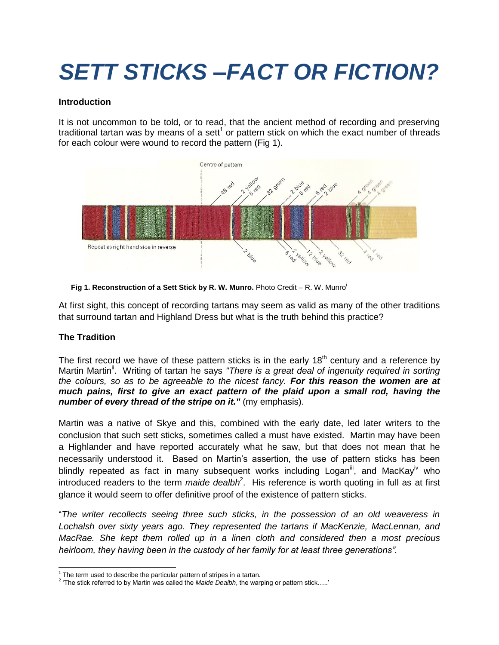# *SETT STICKS –FACT OR FICTION?*

#### **Introduction**

It is not uncommon to be told, or to read, that the ancient method of recording and preserving traditional tartan was by means of a sett<sup>1</sup> or pattern stick on which the exact number of threads for each colour were wound to record the pattern (Fig 1).





At first sight, this concept of recording tartans may seem as valid as many of the other traditions that surround tartan and Highland Dress but what is the truth behind this practice?

## **The Tradition**

The first record we have of these pattern sticks is in the early  $18<sup>th</sup>$  century and a reference by Martin Martin<sup>ii</sup>. Writing of tartan he says "There is a great deal of ingenuity required in sorting *the colours, so as to be agreeable to the nicest fancy. For this reason the women are at much pains, first to give an exact pattern of the plaid upon a small rod, having the number of every thread of the stripe on it."* (my emphasis).

Martin was a native of Skye and this, combined with the early date, led later writers to the conclusion that such sett sticks, sometimes called a must have existed. Martin may have been a Highlander and have reported accurately what he saw, but that does not mean that he necessarily understood it. Based on Martin's assertion, the use of pattern sticks has been blindly repeated as fact in many subsequent works including Logan<sup>ii</sup>, and MacKay<sup>iv</sup> who introduced readers to the term *maide dealbh*<sup>2</sup>. His reference is worth quoting in full as at first glance it would seem to offer definitive proof of the existence of pattern sticks.

"*The writer recollects seeing three such sticks, in the possession of an old weaveress in Lochalsh over sixty years ago. They represented the tartans if MacKenzie, MacLennan, and MacRae. She kept them rolled up in a linen cloth and considered then a most precious heirloom, they having been in the custody of her family for at least three generations".*

 $\overline{a}$  $1$  The term used to describe the particular pattern of stripes in a tartan.

<sup>2</sup> 'The stick referred to by Martin was called the *Maide Dealbh*, the warping or pattern stick…..'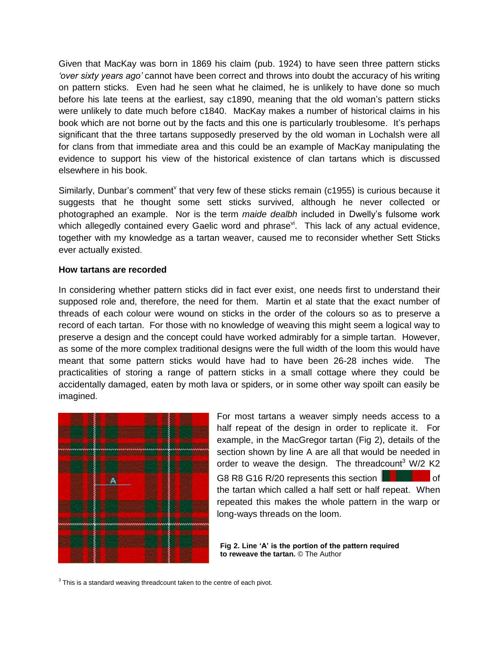Given that MacKay was born in 1869 his claim (pub. 1924) to have seen three pattern sticks *'over sixty years ago'* cannot have been correct and throws into doubt the accuracy of his writing on pattern sticks. Even had he seen what he claimed, he is unlikely to have done so much before his late teens at the earliest, say c1890, meaning that the old woman's pattern sticks were unlikely to date much before c1840. MacKay makes a number of historical claims in his book which are not borne out by the facts and this one is particularly troublesome. It's perhaps significant that the three tartans supposedly preserved by the old woman in Lochalsh were all for clans from that immediate area and this could be an example of MacKay manipulating the evidence to support his view of the historical existence of clan tartans which is discussed elsewhere in his book.

Similarly, Dunbar's comment<sup>v</sup> that very few of these sticks remain (c1955) is curious because it suggests that he thought some sett sticks survived, although he never collected or photographed an example. Nor is the term *maide dealbh* included in Dwelly's fulsome work which allegedly contained every Gaelic word and phrase<sup>vi</sup>. This lack of any actual evidence, together with my knowledge as a tartan weaver, caused me to reconsider whether Sett Sticks ever actually existed.

#### **How tartans are recorded**

In considering whether pattern sticks did in fact ever exist, one needs first to understand their supposed role and, therefore, the need for them. Martin et al state that the exact number of threads of each colour were wound on sticks in the order of the colours so as to preserve a record of each tartan. For those with no knowledge of weaving this might seem a logical way to preserve a design and the concept could have worked admirably for a simple tartan. However, as some of the more complex traditional designs were the full width of the loom this would have meant that some pattern sticks would have had to have been 26-28 inches wide. The practicalities of storing a range of pattern sticks in a small cottage where they could be accidentally damaged, eaten by moth lava or spiders, or in some other way spoilt can easily be imagined.



For most tartans a weaver simply needs access to a half repeat of the design in order to replicate it. For example, in the MacGregor tartan (Fig 2), details of the section shown by line A are all that would be needed in order to weave the design. The threadcount<sup>3</sup> W/2 K2 G8 R8 G16 R/20 represents this section  $\Box$   $\Box$  of the tartan which called a half sett or half repeat. When repeated this makes the whole pattern in the warp or long-ways threads on the loom.

**Fig 2. Line 'A' is the portion of the pattern required to reweave the tartan.** © The Author

 $3$  This is a standard weaving threadcount taken to the centre of each pivot.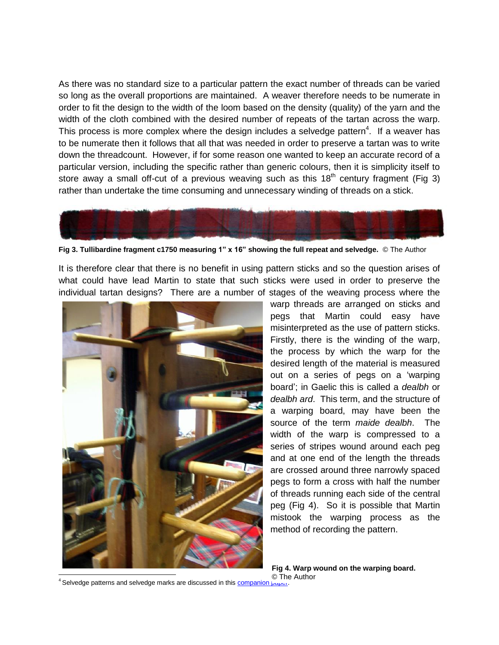As there was no standard size to a particular pattern the exact number of threads can be varied so long as the overall proportions are maintained. A weaver therefore needs to be numerate in order to fit the design to the width of the loom based on the density (quality) of the yarn and the width of the cloth combined with the desired number of repeats of the tartan across the warp. This process is more complex where the design includes a selvedge pattern<sup>4</sup>. If a weaver has to be numerate then it follows that all that was needed in order to preserve a tartan was to write down the threadcount. However, if for some reason one wanted to keep an accurate record of a particular version, including the specific rather than generic colours, then it is simplicity itself to store away a small off-cut of a previous weaving such as this  $18<sup>th</sup>$  century fragment (Fig 3) rather than undertake the time consuming and unnecessary winding of threads on a stick.



**Fig 3. Tullibardine fragment c1750 measuring 1" x 16" showing the full repeat and selvedge.** © The Author

It is therefore clear that there is no benefit in using pattern sticks and so the question arises of what could have lead Martin to state that such sticks were used in order to preserve the individual tartan designs? There are a number of stages of the weaving process where the



warp threads are arranged on sticks and pegs that Martin could easy have misinterpreted as the use of pattern sticks. Firstly, there is the winding of the warp, the process by which the warp for the desired length of the material is measured out on a series of pegs on a 'warping board'; in Gaelic this is called a *dealbh* or *dealbh ard*. This term, and the structure of a warping board, may have been the source of the term *maide dealbh*. The width of the warp is compressed to a series of stripes wound around each peg and at one end of the length the threads are crossed around three narrowly spaced pegs to form a cross with half the number of threads running each side of the central peg (Fig 4). So it is possible that Martin mistook the warping process as the method of recording the pattern.

**Fig 4. Warp wound on the warping board.** © The Author

<sup>4</sup> Selvedge patterns and selvedge marks are discussed in this **companion**  $\frac{1}{2}$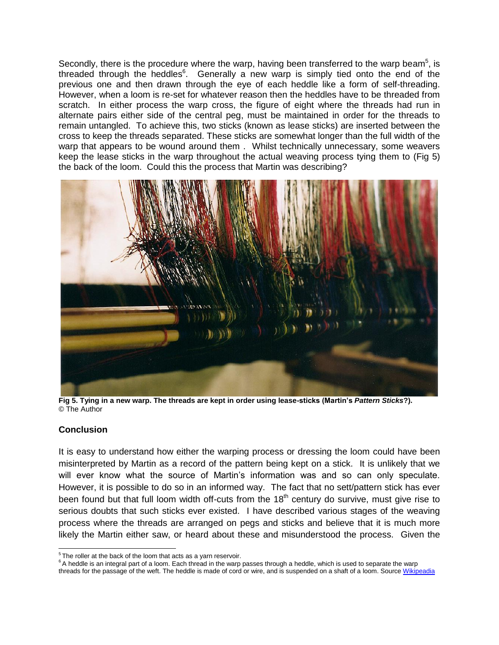Secondly, there is the procedure where the warp, having been transferred to the warp beam<sup>5</sup>, is threaded through the heddles $6$ . Generally a new warp is simply tied onto the end of the previous one and then drawn through the eye of each heddle like a form of self-threading. However, when a loom is re-set for whatever reason then the heddles have to be threaded from scratch. In either process the warp cross, the figure of eight where the threads had run in alternate pairs either side of the central peg, must be maintained in order for the threads to remain untangled. To achieve this, two sticks (known as lease sticks) are inserted between the cross to keep the threads separated. These sticks are somewhat longer than the full width of the warp that appears to be wound around them . Whilst technically unnecessary, some weavers keep the lease sticks in the warp throughout the actual weaving process tying them to (Fig 5) the back of the loom. Could this the process that Martin was describing?



**Fig 5. Tying in a new warp. The threads are kept in order using lease-sticks (Martin's** *Pattern Sticks***?).**  © The Author

## **Conclusion**

It is easy to understand how either the warping process or dressing the loom could have been misinterpreted by Martin as a record of the pattern being kept on a stick. It is unlikely that we will ever know what the source of Martin's information was and so can only speculate. However, it is possible to do so in an informed way. The fact that no sett/pattern stick has ever been found but that full loom width off-cuts from the  $18<sup>th</sup>$  century do survive, must give rise to serious doubts that such sticks ever existed. I have described various stages of the weaving process where the threads are arranged on pegs and sticks and believe that it is much more likely the Martin either saw, or heard about these and misunderstood the process. Given the

threads for the passage of the weft. The heddle is made of cord or wire, and is suspended on a shaft of a loom. Sourc[e Wikipeadia](http://en.wikipedia.org/wiki/Heddle)

 $\overline{\phantom{a}}^5$ The roller at the back of the loom that acts as a yarn reservoir.

<sup>&</sup>lt;sup>6</sup> A heddle is an integral part of a loom. Each thread in the warp passes through a heddle, which is used to separate the warp